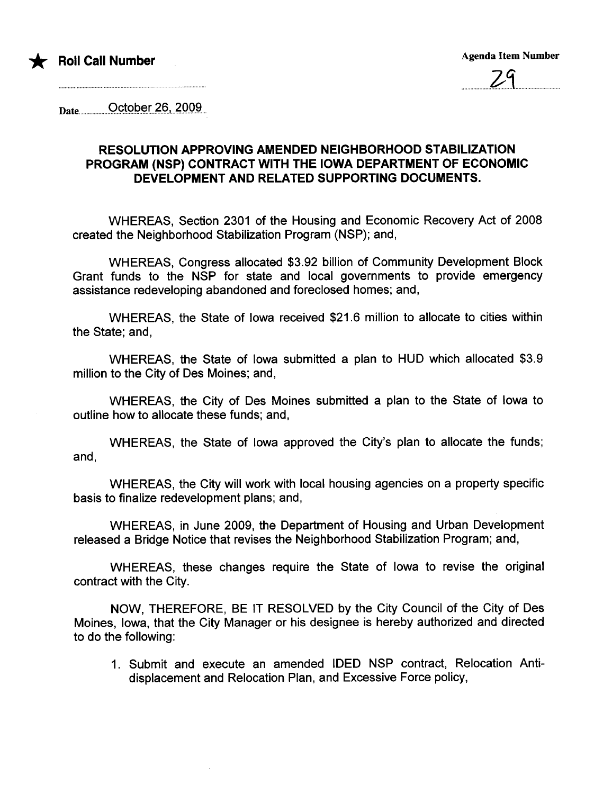



Date..................'Oçt9.p.~.r.4..9.i.4.'OQ.s....

## RESOLUTION APPROVING AMENDED NEIGHBORHOOD STABILIZATION PROGRAM (NSP) CONTRACT WITH THE IOWA DEPARTMENT OF ECONOMIC DEVELOPMENT AND RELATED SUPPORTING DOCUMENTS.

WHEREAS, Section 2301 of the Housing and Economic Recovery Act of 2008 created the Neighborhood Stabilization Program (NSP); and,

WHEREAS, Congress allocated \$3.92 billion of Community Development Block Grant funds to the NSP for state and local governments to provide emergency assistance redeveloping abandoned and foreclosed homes; and,

WHEREAS, the State of Iowa received \$21.6 million to allocate to cities within the State; and,

WHEREAS, the State of Iowa submitted a plan to HUD which allocated \$3.9 million to the City of Des Moines; and,

WHEREAS, the City of Des Moines submitted a plan to the State of Iowa to outline how to allocate these funds; and,

WHEREAS, the State of Iowa approved the City's plan to allocate the funds; and,

WHEREAS, the City will work with local housing agencies on a property specific basis to finalize redevelopment plans; and,

WHEREAS, in June 2009, the Department of Housing and Urban Development released a Bridge Notice that revises the Neighborhood Stabilization Program; and,

WHEREAS, these changes require the State of Iowa to revise the original contract with the City.

NOW, THEREFORE, BE IT RESOLVED by the City Council of the City of Des Moines, Iowa, that the City Manager or his designee is hereby authorized and directed to do the following:

1. Submit and execute an amended IDED NSP contract, Relocation Antidisplacement and Relocation Plan, and Excessive Force policy,